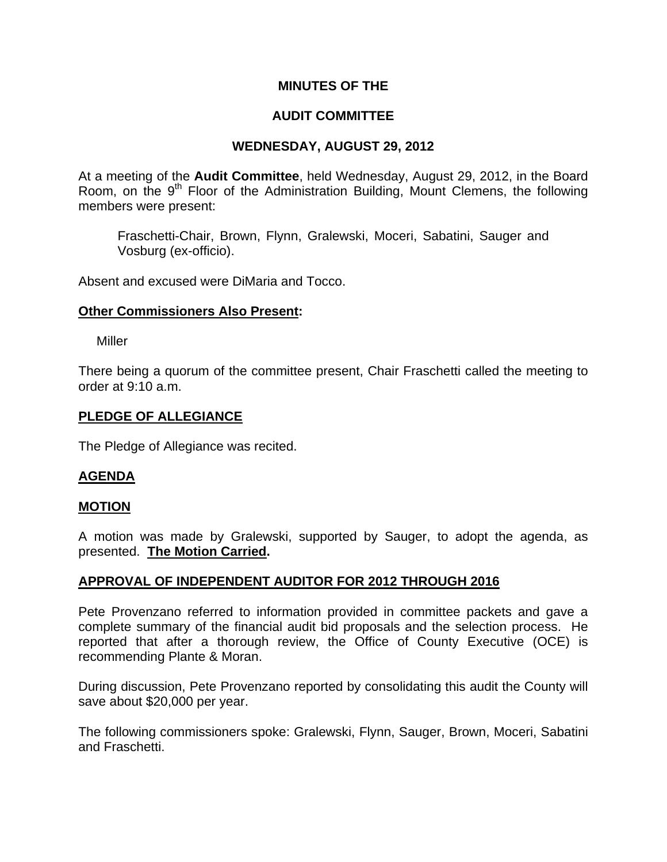## **MINUTES OF THE**

# **AUDIT COMMITTEE**

# **WEDNESDAY, AUGUST 29, 2012**

At a meeting of the **Audit Committee**, held Wednesday, August 29, 2012, in the Board Room, on the  $9<sup>th</sup>$  Floor of the Administration Building, Mount Clemens, the following members were present:

Fraschetti-Chair, Brown, Flynn, Gralewski, Moceri, Sabatini, Sauger and Vosburg (ex-officio).

Absent and excused were DiMaria and Tocco.

### **Other Commissioners Also Present:**

Miller

There being a quorum of the committee present, Chair Fraschetti called the meeting to order at 9:10 a.m.

### **PLEDGE OF ALLEGIANCE**

The Pledge of Allegiance was recited.

### **AGENDA**

### **MOTION**

A motion was made by Gralewski, supported by Sauger, to adopt the agenda, as presented. **The Motion Carried.** 

### **APPROVAL OF INDEPENDENT AUDITOR FOR 2012 THROUGH 2016**

Pete Provenzano referred to information provided in committee packets and gave a complete summary of the financial audit bid proposals and the selection process. He reported that after a thorough review, the Office of County Executive (OCE) is recommending Plante & Moran.

During discussion, Pete Provenzano reported by consolidating this audit the County will save about \$20,000 per year.

The following commissioners spoke: Gralewski, Flynn, Sauger, Brown, Moceri, Sabatini and Fraschetti.